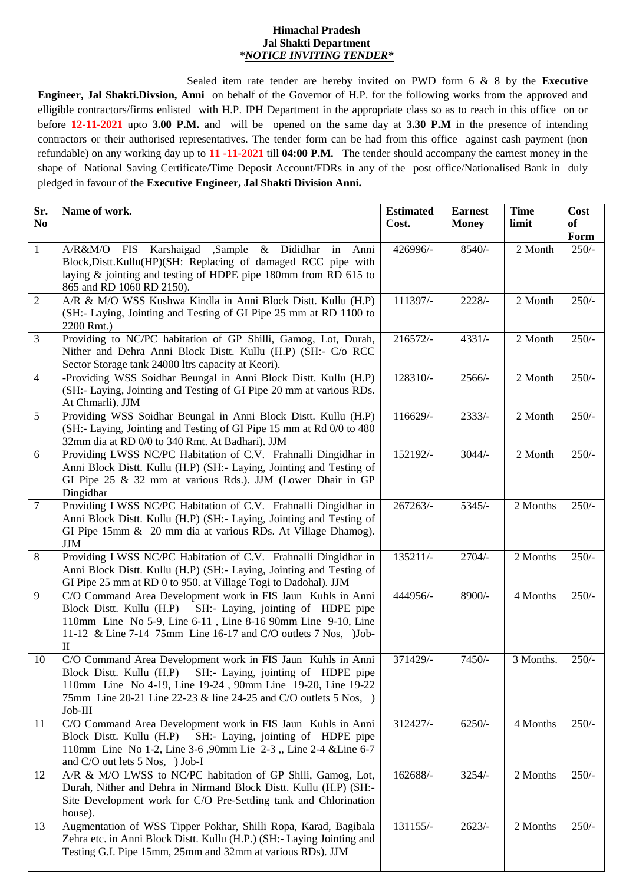## **Himachal Pradesh Jal Shakti Department** *\*NOTICE INVITING TENDER\**

Sealed item rate tender are hereby invited on PWD form 6 & 8 by the **Executive Engineer, Jal Shakti.Divsion, Anni** on behalf of the Governor of H.P. for the following works from the approved and elligible contractors/firms enlisted with H.P. IPH Department in the appropriate class so as to reach in this office on or before **12-11-2021** upto **3.00 P.M.** and will be opened on the same day at **3.30 P.M** in the presence of intending contractors or their authorised representatives. The tender form can be had from this office against cash payment (non refundable) on any working day up to **11 -11-2021** till **04:00 P.M.** The tender should accompany the earnest money in the shape of National Saving Certificate/Time Deposit Account/FDRs in any of the post office/Nationalised Bank in duly pledged in favour of the **Executive Engineer, Jal Shakti Division Anni.** 

| Sr.<br>N <sub>0</sub> | Name of work.                                                                                                                                                                                                                                                                   | <b>Estimated</b><br>Cost. | <b>Earnest</b><br><b>Money</b> | <b>Time</b><br>limit | Cost<br>of<br>Form |
|-----------------------|---------------------------------------------------------------------------------------------------------------------------------------------------------------------------------------------------------------------------------------------------------------------------------|---------------------------|--------------------------------|----------------------|--------------------|
| 1                     | A/R&M/O FIS Karshaigad ,Sample & Dididhar in Anni<br>Block, Distt. Kullu(HP)(SH: Replacing of damaged RCC pipe with<br>laying $\&$ jointing and testing of HDPE pipe 180mm from RD 615 to<br>865 and RD 1060 RD 2150).                                                          | 426996/-                  | $8540/-$                       | 2 Month              | $250/-$            |
| 2                     | A/R & M/O WSS Kushwa Kindla in Anni Block Distt. Kullu (H.P)<br>(SH:- Laying, Jointing and Testing of GI Pipe 25 mm at RD 1100 to<br>2200 Rmt.)                                                                                                                                 | 111397/-                  | $2228/-$                       | 2 Month              | $250/-$            |
| 3                     | Providing to NC/PC habitation of GP Shilli, Gamog, Lot, Durah,<br>Nither and Dehra Anni Block Distt. Kullu (H.P) (SH:- C/o RCC<br>Sector Storage tank 24000 ltrs capacity at Keori).                                                                                            | 216572/-                  | $4331/-$                       | 2 Month              | $250/-$            |
| $\overline{4}$        | -Providing WSS Soidhar Beungal in Anni Block Distt. Kullu (H.P)<br>(SH:- Laying, Jointing and Testing of GI Pipe 20 mm at various RDs.<br>At Chmarli). JJM                                                                                                                      | 128310/-                  | $2566/-$                       | 2 Month              | $250/-$            |
| 5                     | Providing WSS Soidhar Beungal in Anni Block Distt. Kullu (H.P)<br>(SH:- Laying, Jointing and Testing of GI Pipe 15 mm at Rd 0/0 to 480)<br>32mm dia at RD 0/0 to 340 Rmt. At Badhari). JJM                                                                                      | 116629/-                  | $2333/-$                       | 2 Month              | $250/-$            |
| 6                     | Providing LWSS NC/PC Habitation of C.V. Frahnalli Dingidhar in<br>Anni Block Distt. Kullu (H.P) (SH:- Laying, Jointing and Testing of<br>GI Pipe 25 & 32 mm at various Rds.). JJM (Lower Dhair in GP<br>Dingidhar                                                               | 152192/-                  | $3044/-$                       | 2 Month              | $250/-$            |
| $\tau$                | Providing LWSS NC/PC Habitation of C.V. Frahnalli Dingidhar in<br>Anni Block Distt. Kullu (H.P) (SH:- Laying, Jointing and Testing of<br>GI Pipe 15mm & 20 mm dia at various RDs. At Village Dhamog).<br><b>JJM</b>                                                             | 267263/-                  | $5345/-$                       | 2 Months             | $250/-$            |
| 8                     | Providing LWSS NC/PC Habitation of C.V. Frahnalli Dingidhar in<br>Anni Block Distt. Kullu (H.P) (SH:- Laying, Jointing and Testing of<br>GI Pipe 25 mm at RD 0 to 950. at Village Togi to Dadohal). JJM                                                                         | 135211/-                  | $2704/-$                       | 2 Months             | $250/-$            |
| 9                     | C/O Command Area Development work in FIS Jaun Kuhls in Anni<br>Block Distt. Kullu (H.P)<br>SH:- Laying, jointing of HDPE pipe<br>110mm Line No 5-9, Line 6-11, Line 8-16 90mm Line 9-10, Line<br>11-12 & Line 7-14 75mm Line 16-17 and C/O outlets 7 Nos, )Job-<br>$\mathbf{I}$ | 444956/-                  | 8900/-                         | 4 Months             | $250/-$            |
| 10                    | C/O Command Area Development work in FIS Jaun Kuhls in Anni<br>Block Distt. Kullu (H.P) SH:- Laying, jointing of HDPE pipe<br>110mm Line No 4-19, Line 19-24, 90mm Line 19-20, Line 19-22<br>75mm Line 20-21 Line 22-23 & line 24-25 and C/O outlets 5 Nos, )<br>Job-III        | 371429/-                  | $7450/-$                       | 3 Months.            | $250/-$            |
| 11                    | C/O Command Area Development work in FIS Jaun Kuhls in Anni<br>SH:- Laying, jointing of HDPE pipe<br>Block Distt. Kullu (H.P)<br>110mm Line No 1-2, Line 3-6,90mm Lie 2-3, Line 2-4 & Line 6-7<br>and C/O out lets 5 Nos, ) Job-I                                               | 312427/-                  | $6250/-$                       | 4 Months             | $250/-$            |
| 12                    | A/R & M/O LWSS to NC/PC habitation of GP Shlli, Gamog, Lot,<br>Durah, Nither and Dehra in Nirmand Block Distt. Kullu (H.P) (SH:-<br>Site Development work for C/O Pre-Settling tank and Chlorination<br>house).                                                                 | 162688/-                  | $3254/-$                       | 2 Months             | $250/-$            |
| 13                    | Augmentation of WSS Tipper Pokhar, Shilli Ropa, Karad, Bagibala<br>Zehra etc. in Anni Block Distt. Kullu (H.P.) (SH:- Laying Jointing and<br>Testing G.I. Pipe 15mm, 25mm and 32mm at various RDs). JJM                                                                         | 131155/-                  | $2623/-$                       | 2 Months             | $250/-$            |